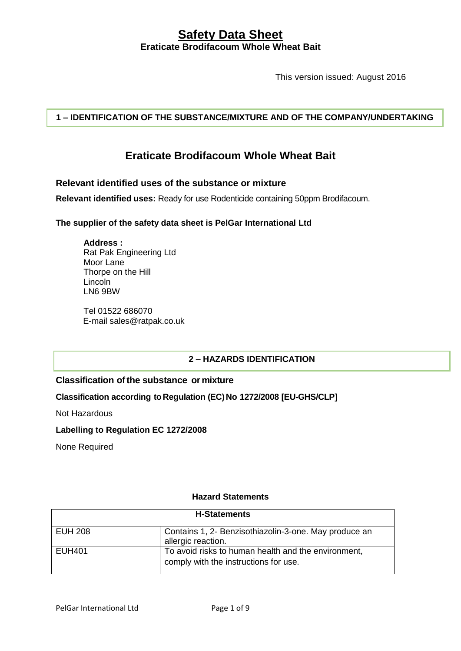This version issued: August 2016

**1 – IDENTIFICATION OF THE SUBSTANCE/MIXTURE AND OF THE COMPANY/UNDERTAKING**

# **Eraticate Brodifacoum Whole Wheat Bait**

### **Relevant identified uses of the substance or mixture**

**Relevant identified uses:** Ready for use Rodenticide containing 50ppm Brodifacoum.

### **The supplier of the safety data sheet is PelGar International Ltd**

**Address :** Rat Pak Engineering Ltd Moor Lane Thorpe on the Hill Lincoln LN6 9BW

Tel 01522 686070 E-mail sales@ratpak.co.uk

### **2 – HAZARDS IDENTIFICATION**

## **Classification ofthe substance or mixture**

### **Classification according toRegulation (EC)No 1272/2008 [EU-GHS/CLP]**

Not Hazardous

### **Labelling to Regulation EC 1272/2008**

None Required

### **Hazard Statements**

| <b>H-Statements</b> |                                                                                              |
|---------------------|----------------------------------------------------------------------------------------------|
| <b>EUH 208</b>      | Contains 1, 2- Benzisothiazolin-3-one. May produce an<br>allergic reaction.                  |
| <b>EUH401</b>       | To avoid risks to human health and the environment,<br>comply with the instructions for use. |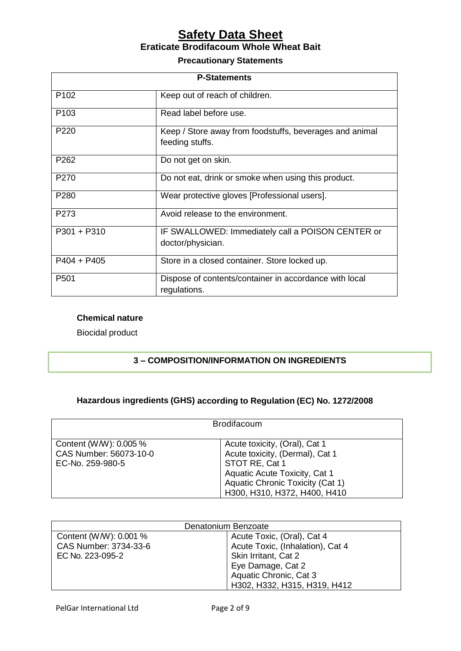### **Precautionary Statements**

| <b>P-Statements</b> |                                                                            |  |
|---------------------|----------------------------------------------------------------------------|--|
| P <sub>102</sub>    | Keep out of reach of children.                                             |  |
| P <sub>103</sub>    | Read label before use.                                                     |  |
| P <sub>220</sub>    | Keep / Store away from foodstuffs, beverages and animal<br>feeding stuffs. |  |
| P <sub>262</sub>    | Do not get on skin.                                                        |  |
| P <sub>270</sub>    | Do not eat, drink or smoke when using this product.                        |  |
| P <sub>280</sub>    | Wear protective gloves [Professional users].                               |  |
| P <sub>273</sub>    | Avoid release to the environment.                                          |  |
| $P301 + P310$       | IF SWALLOWED: Immediately call a POISON CENTER or<br>doctor/physician.     |  |
| $P404 + P405$       | Store in a closed container. Store locked up.                              |  |
| P <sub>501</sub>    | Dispose of contents/container in accordance with local<br>regulations.     |  |

### **Chemical nature**

Biocidal product

## **3 – COMPOSITION/INFORMATION ON INGREDIENTS**

# **Hazardous ingredients (GHS) according to Regulation (EC) No. 1272/2008**

| <b>Brodifacoum</b>                                                   |                                                                                                                                                                                         |
|----------------------------------------------------------------------|-----------------------------------------------------------------------------------------------------------------------------------------------------------------------------------------|
| Content (W/W): 0.005 %<br>CAS Number: 56073-10-0<br>EC-No. 259-980-5 | Acute toxicity, (Oral), Cat 1<br>Acute toxicity, (Dermal), Cat 1<br>STOT RE, Cat 1<br>Aquatic Acute Toxicity, Cat 1<br>Aquatic Chronic Toxicity (Cat 1)<br>H300, H310, H372, H400, H410 |

| Denatonium Benzoate    |                                  |  |
|------------------------|----------------------------------|--|
| Content (W/W): 0.001 % | Acute Toxic, (Oral), Cat 4       |  |
| CAS Number: 3734-33-6  | Acute Toxic, (Inhalation), Cat 4 |  |
| EC No. 223-095-2       | Skin Irritant, Cat 2             |  |
|                        | Eye Damage, Cat 2                |  |
|                        | Aquatic Chronic, Cat 3           |  |
|                        | H302, H332, H315, H319, H412     |  |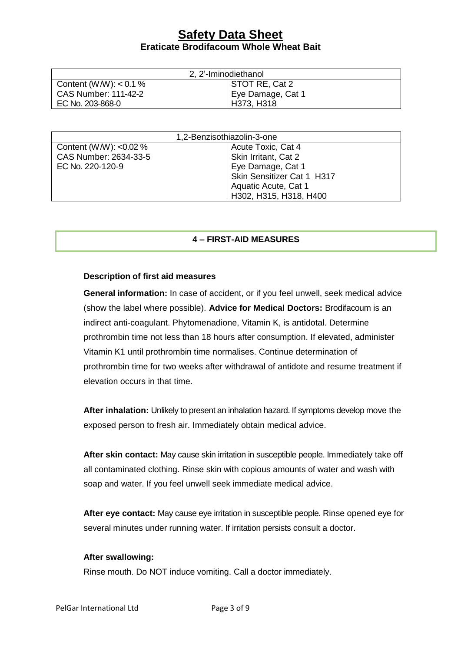| 2, 2'-Iminodiethanol        |                   |  |
|-----------------------------|-------------------|--|
| Content (W/W): $< 0.1 \%$   | STOT RE, Cat 2    |  |
| <b>CAS Number: 111-42-2</b> | Eye Damage, Cat 1 |  |
| EC No. 203-868-0            | H373, H318        |  |

| 1,2-Benzisothiazolin-3-one |                            |
|----------------------------|----------------------------|
| Content (W/W): < $0.02\%$  | Acute Toxic, Cat 4         |
| CAS Number: 2634-33-5      | Skin Irritant, Cat 2       |
| EC No. 220-120-9           | Eye Damage, Cat 1          |
|                            | Skin Sensitizer Cat 1 H317 |
|                            | Aquatic Acute, Cat 1       |
|                            | H302, H315, H318, H400     |

### **4 – FIRST-AID MEASURES**

### **Description of first aid measures**

**General information:** In case of accident, or if you feel unwell, seek medical advice (show the label where possible). **Advice for Medical Doctors:** Brodifacoum is an indirect anti-coagulant. Phytomenadione, Vitamin K, is antidotal. Determine prothrombin time not less than 18 hours after consumption. If elevated, administer Vitamin K1 until prothrombin time normalises. Continue determination of prothrombin time for two weeks after withdrawal of antidote and resume treatment if elevation occurs in that time.

**After inhalation:** Unlikely to present an inhalation hazard. If symptoms develop move the exposed person to fresh air. Immediately obtain medical advice.

**After skin contact:** May cause skin irritation in susceptible people. Immediately take off all contaminated clothing. Rinse skin with copious amounts of water and wash with soap and water. If you feel unwell seek immediate medical advice.

**After eye contact:** May cause eye irritation in susceptible people. Rinse opened eye for several minutes under running water. If irritation persists consult a doctor.

### **After swallowing:**

Rinse mouth. Do NOT induce vomiting. Call a doctor immediately.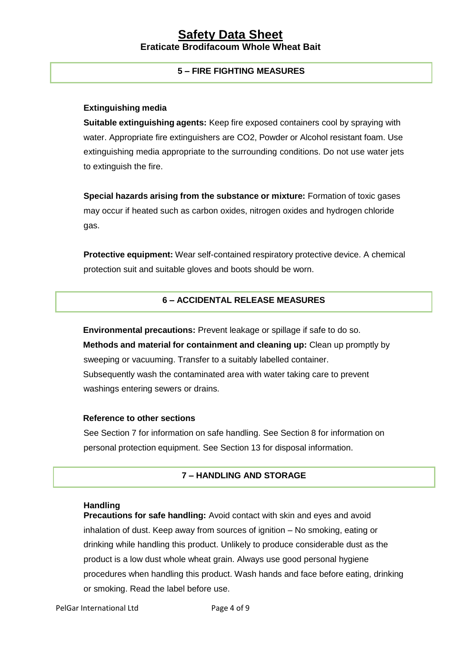### **5 – FIRE FIGHTING MEASURES**

### **Extinguishing media**

**Suitable extinguishing agents:** Keep fire exposed containers cool by spraying with water. Appropriate fire extinguishers are CO2, Powder or Alcohol resistant foam. Use extinguishing media appropriate to the surrounding conditions. Do not use water jets to extinguish the fire.

**Special hazards arising from the substance or mixture:** Formation of toxic gases may occur if heated such as carbon oxides, nitrogen oxides and hydrogen chloride gas.

**Protective equipment:** Wear self-contained respiratory protective device. A chemical protection suit and suitable gloves and boots should be worn.

### **6 – ACCIDENTAL RELEASE MEASURES**

**Environmental precautions:** Prevent leakage or spillage if safe to do so. **Methods and material for containment and cleaning up:** Clean up promptly by sweeping or vacuuming. Transfer to a suitably labelled container. Subsequently wash the contaminated area with water taking care to prevent washings entering sewers or drains.

### **Reference to other sections**

See Section 7 for information on safe handling. See Section 8 for information on personal protection equipment. See Section 13 for disposal information.

### **7 – HANDLING AND STORAGE**

### **Handling**

**Precautions for safe handling:** Avoid contact with skin and eyes and avoid inhalation of dust. Keep away from sources of ignition – No smoking, eating or drinking while handling this product. Unlikely to produce considerable dust as the product is a low dust whole wheat grain. Always use good personal hygiene procedures when handling this product. Wash hands and face before eating, drinking or smoking. Read the label before use.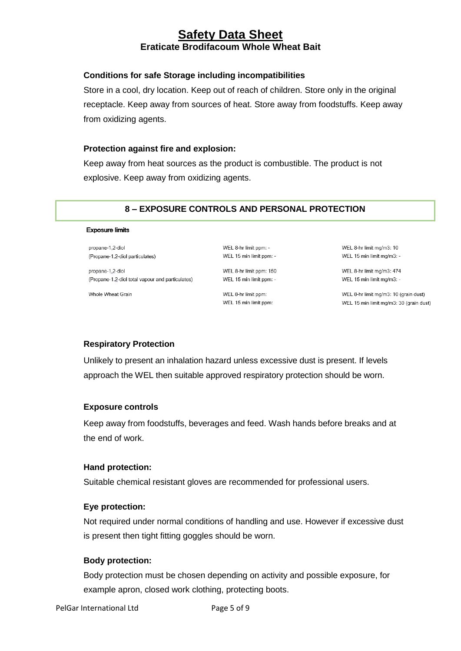### **Conditions for safe Storage including incompatibilities**

Store in a cool, dry location. Keep out of reach of children. Store only in the original receptacle. Keep away from sources of heat. Store away from foodstuffs. Keep away from oxidizing agents.

### **Protection against fire and explosion:**

Keep away from heat sources as the product is combustible. The product is not explosive. Keep away from oxidizing agents.

### **8 – EXPOSURE CONTROLS AND PERSONAL PROTECTION**

#### **Exposure limits**

propane-1,2-diol (Propane-1,2-diol particulates)

propane-1,2-diol (Propane-1,2-diol total vapour and particulates)

Whole Wheat Grain

WEL 8-hr limit ppm: -WEL 15 min limit ppm: -

WEL 8-hr limit ppm: 150 WEL 15 min limit ppm: -

WEL 8-hr limit ppm: WEL 15 min limit ppm:

WEL 8-hr limit mg/m3: 10 WEL 15 min limit mg/m3: -

WEL 8-hr limit mg/m3: 474 WEL 15 min limit mg/m3: -

WEL 8-hr limit mg/m3: 10 (grain dust) WEL 15 min limit mg/m3: 30 (grain dust)

### **Respiratory Protection**

Unlikely to present an inhalation hazard unless excessive dust is present. If levels approach the WEL then suitable approved respiratory protection should be worn.

### **Exposure controls**

Keep away from foodstuffs, beverages and feed. Wash hands before breaks and at the end of work.

### **Hand protection:**

Suitable chemical resistant gloves are recommended for professional users.

### **Eye protection:**

Not required under normal conditions of handling and use. However if excessive dust is present then tight fitting goggles should be worn.

### **Body protection:**

Body protection must be chosen depending on activity and possible exposure, for example apron, closed work clothing, protecting boots.

PelGar International Ltd Page 5 of 9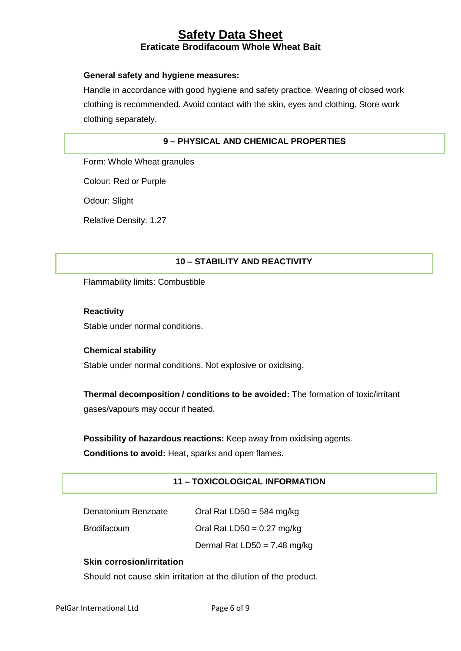### **General safety and hygiene measures:**

Handle in accordance with good hygiene and safety practice. Wearing of closed work clothing is recommended. Avoid contact with the skin, eyes and clothing. Store work clothing separately.

### **9 – PHYSICAL AND CHEMICAL PROPERTIES**

Form: Whole Wheat granules

Colour: Red or Purple

Odour: Slight

Relative Density: 1.27

### **10 – STABILITY AND REACTIVITY**

Flammability limits: Combustible

### **Reactivity**

Stable under normal conditions.

### **Chemical stability**

Stable under normal conditions. Not explosive or oxidising.

**Thermal decomposition / conditions to be avoided:** The formation of toxic/irritant gases/vapours may occur if heated.

**Possibility of hazardous reactions:** Keep away from oxidising agents.

**Conditions to avoid:** Heat, sparks and open flames.

### **11 – TOXICOLOGICAL INFORMATION**

| Denatonium Benzoate | Oral Rat LD50 = 584 mg/kg    |
|---------------------|------------------------------|
| <b>Brodifacoum</b>  | Oral Rat $LD50 = 0.27$ mg/kg |
|                     | Dermal Rat LD50 = 7.48 mg/kg |

### **Skin corrosion/irritation**

Should not cause skin irritation at the dilution of the product.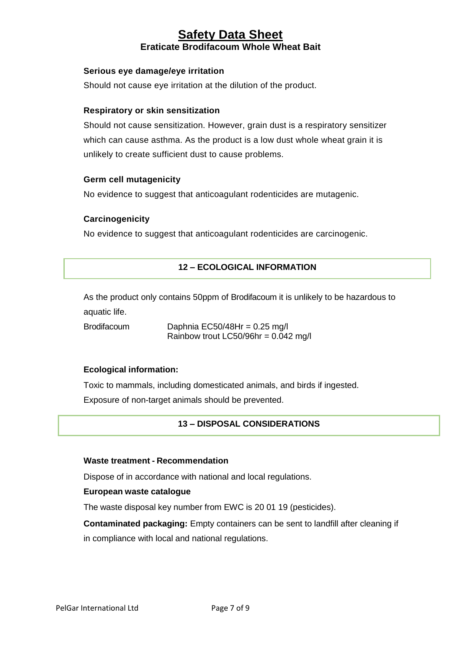### **Serious eye damage/eye irritation**

Should not cause eye irritation at the dilution of the product.

### **Respiratory or skin sensitization**

Should not cause sensitization. However, grain dust is a respiratory sensitizer which can cause asthma. As the product is a low dust whole wheat grain it is unlikely to create sufficient dust to cause problems.

### **Germ cell mutagenicity**

No evidence to suggest that anticoagulant rodenticides are mutagenic.

### **Carcinogenicity**

No evidence to suggest that anticoagulant rodenticides are carcinogenic.

### **12 – ECOLOGICAL INFORMATION**

As the product only contains 50ppm of Brodifacoum it is unlikely to be hazardous to aquatic life.

Brodifacoum Daphnia EC50/48Hr = 0.25 mg/l Rainbow trout LC50/96hr =  $0.042$  mg/l

### **Ecological information:**

Toxic to mammals, including domesticated animals, and birds if ingested. Exposure of non-target animals should be prevented.

### **13 – DISPOSAL CONSIDERATIONS**

### **Waste treatment - Recommendation**

Dispose of in accordance with national and local regulations.

### **European waste catalogue**

The waste disposal key number from EWC is 20 01 19 (pesticides).

**Contaminated packaging:** Empty containers can be sent to landfill after cleaning if in compliance with local and national regulations.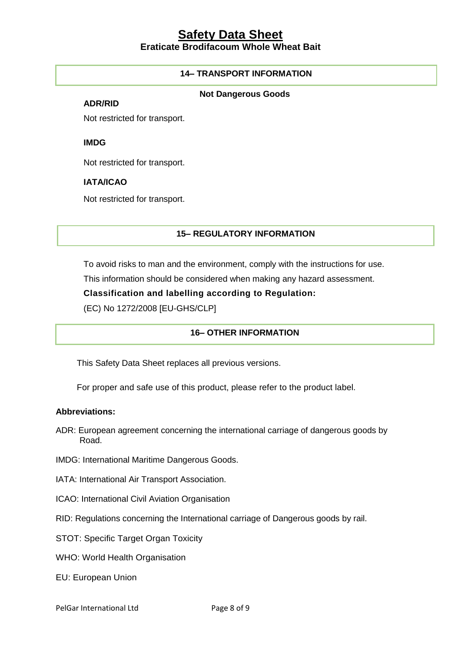### **14– TRANSPORT INFORMATION**

### **Not Dangerous Goods**

### **ADR/RID**

Not restricted for transport.

**IMDG**

Not restricted for transport.

### **IATA/ICAO**

Not restricted for transport.

### **15– REGULATORY INFORMATION**

To avoid risks to man and the environment, comply with the instructions for use.

This information should be considered when making any hazard assessment.

### **Classification and labelling according to Regulation:**

(EC) No 1272/2008 [EU-GHS/CLP]

### **16– OTHER INFORMATION**

This Safety Data Sheet replaces all previous versions.

For proper and safe use of this product, please refer to the product label.

### **Abbreviations:**

- ADR: European agreement concerning the international carriage of dangerous goods by Road.
- IMDG: International Maritime Dangerous Goods.
- IATA: International Air Transport Association.
- ICAO: International Civil Aviation Organisation
- RID: Regulations concerning the International carriage of Dangerous goods by rail.
- STOT: Specific Target Organ Toxicity
- WHO: World Health Organisation
- EU: European Union